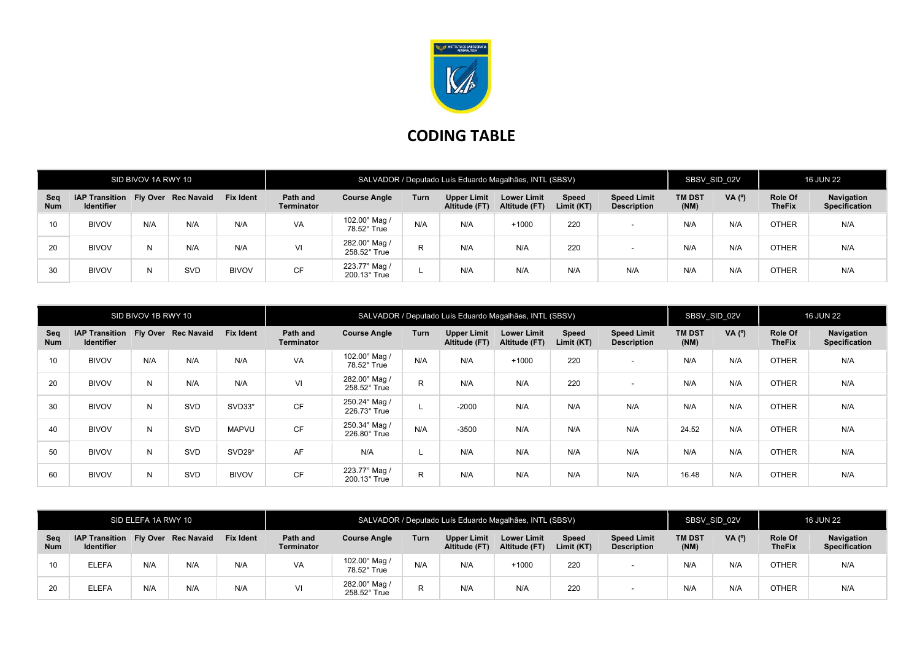

## CODING TABLE

|                   |                                            | SID BIVOV 1A RWY 10 |                     |                  |                               | SALVADOR / Deputado Luís Eduardo Magalhães, INTL (SBSV) | SBSV SID 02V |                                     | <b>16 JUN 22</b>                    |                     |                                          |                       |                |                          |                                    |
|-------------------|--------------------------------------------|---------------------|---------------------|------------------|-------------------------------|---------------------------------------------------------|--------------|-------------------------------------|-------------------------------------|---------------------|------------------------------------------|-----------------------|----------------|--------------------------|------------------------------------|
| Seg<br><b>Num</b> | <b>IAP Transition</b><br><b>Identifier</b> |                     | Fly Over Rec Navaid | <b>Fix Ident</b> | Path and<br><b>Terminator</b> | <b>Course Angle</b>                                     | Turn         | <b>Upper Limit</b><br>Altitude (FT) | <b>Lower Limit</b><br>Altitude (FT) | Speed<br>Limit (KT) | <b>Speed Limit</b><br><b>Description</b> | <b>TM DST</b><br>(NM) | $VA(^{\circ})$ | Role Of<br><b>TheFix</b> | Navigation<br><b>Specification</b> |
| 10 <sup>°</sup>   | <b>BIVOV</b>                               | N/A                 | N/A                 | N/A              | VA                            | 102.00° Mag /<br>78.52° True                            | N/A          | N/A                                 | $+1000$                             | 220                 |                                          | N/A                   | N/A            | <b>OTHER</b>             | N/A                                |
| 20                | <b>BIVOV</b>                               | N                   | N/A                 | N/A              | VI                            | 282.00° Mag /<br>258.52° True                           | D            | N/A                                 | N/A                                 | 220                 |                                          | N/A                   | N/A            | <b>OTHER</b>             | N/A                                |
| 30                | <b>BIVOV</b>                               | N                   | SVD                 | <b>BIVOV</b>     | CF                            | 223.77° Mag /<br>$200.13^\circ$ True                    |              | N/A                                 | N/A                                 | N/A                 | N/A                                      | N/A                   | N/A            | OTHER                    | N/A                                |

|                   |                                                         | SID BIVOV 1B RWY 10 |     |                     |                               | SALVADOR / Deputado Luís Eduardo Magalhães, INTL (SBSV) |              |                                     | SBSV SID 02V                        |                     | <b>16 JUN 22</b>                         |                       |          |                          |                                    |
|-------------------|---------------------------------------------------------|---------------------|-----|---------------------|-------------------------------|---------------------------------------------------------|--------------|-------------------------------------|-------------------------------------|---------------------|------------------------------------------|-----------------------|----------|--------------------------|------------------------------------|
| Seq<br><b>Num</b> | IAP Transition Fly Over Rec Navaid<br><b>Identifier</b> |                     |     | <b>Fix Ident</b>    | Path and<br><b>Terminator</b> | <b>Course Angle</b>                                     | Turn         | <b>Upper Limit</b><br>Altitude (FT) | <b>Lower Limit</b><br>Altitude (FT) | Speed<br>Limit (KT) | <b>Speed Limit</b><br><b>Description</b> | <b>TM DST</b><br>(NM) | VA $(°)$ | Role Of<br><b>TheFix</b> | Navigation<br><b>Specification</b> |
| 10                | <b>BIVOV</b>                                            | N/A                 | N/A | N/A                 | VA                            | 102.00° Mag /<br>78.52° True                            | N/A          | N/A                                 | $+1000$                             | 220                 | $\overline{\phantom{a}}$                 | N/A                   | N/A      | <b>OTHER</b>             | N/A                                |
| 20                | <b>BIVOV</b>                                            | N                   | N/A | N/A                 | VI                            | 282.00° Mag /<br>258.52° True                           | $\mathsf{R}$ | N/A                                 | N/A                                 | 220                 |                                          | N/A                   | N/A      | <b>OTHER</b>             | N/A                                |
| 30                | <b>BIVOV</b>                                            | N                   | SVD | SVD33*              | <b>CF</b>                     | 250.24° Mag /<br>226.73° True                           |              | $-2000$                             | N/A                                 | N/A                 | N/A                                      | N/A                   | N/A      | <b>OTHER</b>             | N/A                                |
| 40                | <b>BIVOV</b>                                            | N                   | SVD | <b>MAPVU</b>        | <b>CF</b>                     | 250.34° Mag /<br>$226.80^\circ$ True                    | N/A          | $-3500$                             | N/A                                 | N/A                 | N/A                                      | 24.52                 | N/A      | <b>OTHER</b>             | N/A                                |
| 50                | <b>BIVOV</b>                                            | N                   | SVD | SVD <sub>29</sub> * | AF                            | N/A                                                     |              | N/A                                 | N/A                                 | N/A                 | N/A                                      | N/A                   | N/A      | <b>OTHER</b>             | N/A                                |
| 60                | <b>BIVOV</b>                                            | N                   | SVD | <b>BIVOV</b>        | <b>CF</b>                     | 223.77° Mag /<br>200.13° True                           | $\mathsf{R}$ | N/A                                 | N/A                                 | N/A                 | N/A                                      | 16.48                 | N/A      | <b>OTHER</b>             | N/A                                |

|                   |                                                         | SID ELEFA 1A RWY 10 |     |                  | SALVADOR / Deputado Luís Eduardo Magalhães, INTL (SBSV) |                                        |      |                              |                                     |                            |                                          |                       | SBSV SID 02V   |                          | <b>16 JUN 22</b>                   |  |
|-------------------|---------------------------------------------------------|---------------------|-----|------------------|---------------------------------------------------------|----------------------------------------|------|------------------------------|-------------------------------------|----------------------------|------------------------------------------|-----------------------|----------------|--------------------------|------------------------------------|--|
| Seq<br><b>Num</b> | IAP Transition Fly Over Rec Navaid<br><b>Identifier</b> |                     |     | <b>Fix Ident</b> | Path and<br><b>Terminator</b>                           | <b>Course Angle</b>                    | Turn | Upper Limit<br>Altitude (FT) | <b>Lower Limit</b><br>Altitude (FT) | <b>Speed</b><br>Limit (KT) | <b>Speed Limit</b><br><b>Description</b> | <b>TM DST</b><br>(NM) | $VA(^{\circ})$ | Role Of<br><b>TheFix</b> | Navigation<br><b>Specification</b> |  |
|                   | ELEFA                                                   | N/A                 | N/A | N/A              | VA                                                      | 102.00° Mag<br>78.52° True             | N/A  | N/A                          | $+1000$                             | 220                        |                                          | N/A                   | N/A            | <b>OTHER</b>             | N/A                                |  |
| 20                | <b>ELEFA</b>                                            | N/A                 | N/A | N/A              | $\overline{1}$                                          | 282.00° Mag /<br>$258.52^{\circ}$ True |      | N/A                          | N/A                                 | 220                        |                                          | N/A                   | N/A            | <b>OTHER</b>             | N/A                                |  |